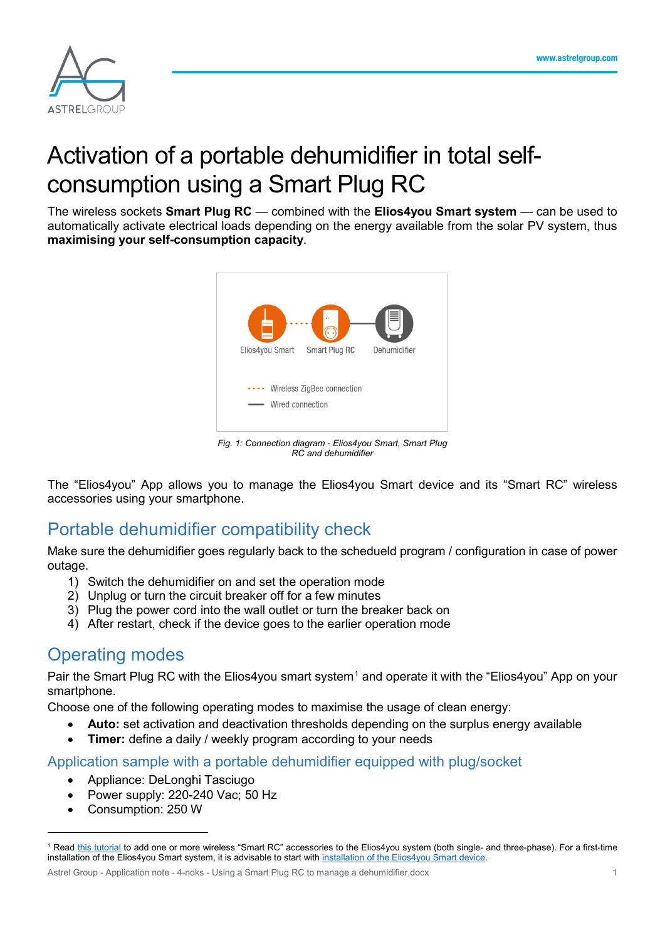

# Activation of a portable dehumidifier in total selfconsumption using a Smart Plug RC

The wireless sockets **Smart Plug RC** — combined with the **Elios4you Smart system** — can be used to automatically activate electrical loads depending on the energy available from the solar PV system, thus **maximising your self-consumption capacity**.



*Fig. 1: Connection diagram - Elios4you Smart, Smart Plug RC and dehumidifier*

The "Elios4you" App allows you to manage the Elios4you Smart device and its "Smart RC" wireless accessories using your smartphone.

## Portable dehumidifier compatibility check

Make sure the dehumidifier goes regularly back to the schedueld program / configuration in case of power outage.

- 1) Switch the dehumidifier on and set the operation mode
- 2) Unplug or turn the circuit breaker off for a few minutes
- 3) Plug the power cord into the wall outlet or turn the breaker back on
- 4) After restart, check if the device goes to the earlier operation mode

### Operating modes

Pair the Smart Plug RC with the Elios4you smart system<sup>[1](#page-0-0)</sup> and operate it with the "Elios4you" App on your smartphone.

Choose one of the following operating modes to maximise the usage of clean energy:

- **Auto:** set activation and deactivation thresholds depending on the surplus energy available
- **Timer:** define a daily / weekly program according to your needs

#### Application sample with a portable dehumidifier equipped with plug/socket

- Appliance: DeLonghi Tasciugo
- Power supply: 220-240 Vac; 50 Hz
- Consumption: 250 W

Astrel Group - Application note - 4-noks - Using a Smart Plug RC to manage a dehumidifier.docx 1

<span id="page-0-0"></span> <sup>1</sup> Read [this tutorial](https://www.4-noks.com/tutorial/elios4you-how-to-add-wireless-smart-rc/?lang=en) to add one or more wireless "Smart RC" accessories to the Elios4you system (both single- and three-phase). For a first-time installation of the Elios4you Smart system, it is advisable to start wit[h installation of the Elios4you Smart device.](https://www.4-noks.com/download/fogli-istruzioni-4-noks/fotovoltaico/+05T408030R2.0_Elios4you_Elios4you-Smart_Instruction-manual_IT-EN-FR-DE_20161215.pdf)